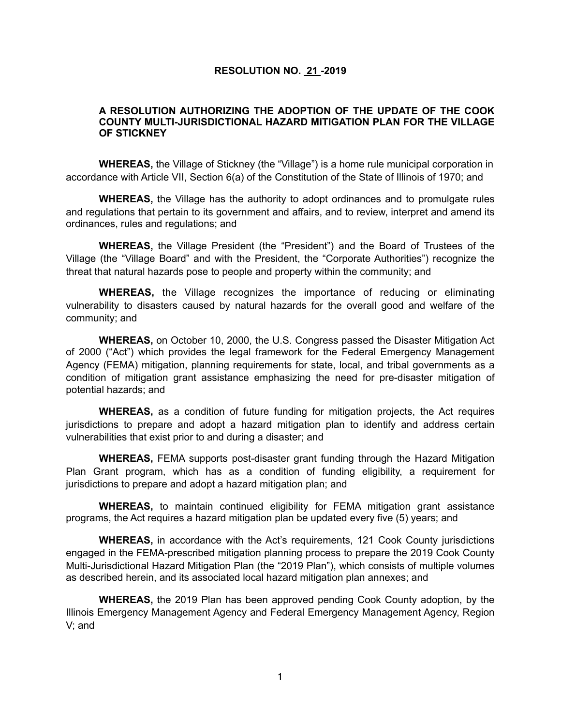## **RESOLUTION NO. 21 -2019**

## **A RESOLUTION AUTHORIZING THE ADOPTION OF THE UPDATE OF THE COOK COUNTY MULTI-JURISDICTIONAL HAZARD MITIGATION PLAN FOR THE VILLAGE OF STICKNEY**

**WHEREAS,** the Village of Stickney (the "Village") is a home rule municipal corporation in accordance with Article VII, Section 6(a) of the Constitution of the State of Illinois of 1970; and

**WHEREAS,** the Village has the authority to adopt ordinances and to promulgate rules and regulations that pertain to its government and affairs, and to review, interpret and amend its ordinances, rules and regulations; and

**WHEREAS,** the Village President (the "President") and the Board of Trustees of the Village (the "Village Board" and with the President, the "Corporate Authorities") recognize the threat that natural hazards pose to people and property within the community; and

**WHEREAS,** the Village recognizes the importance of reducing or eliminating vulnerability to disasters caused by natural hazards for the overall good and welfare of the community; and

**WHEREAS,** on October 10, 2000, the U.S. Congress passed the Disaster Mitigation Act of 2000 ("Act") which provides the legal framework for the Federal Emergency Management Agency (FEMA) mitigation, planning requirements for state, local, and tribal governments as a condition of mitigation grant assistance emphasizing the need for pre-disaster mitigation of potential hazards; and

**WHEREAS,** as a condition of future funding for mitigation projects, the Act requires jurisdictions to prepare and adopt a hazard mitigation plan to identify and address certain vulnerabilities that exist prior to and during a disaster; and

**WHEREAS,** FEMA supports post-disaster grant funding through the Hazard Mitigation Plan Grant program, which has as a condition of funding eligibility, a requirement for jurisdictions to prepare and adopt a hazard mitigation plan; and

**WHEREAS,** to maintain continued eligibility for FEMA mitigation grant assistance programs, the Act requires a hazard mitigation plan be updated every five (5) years; and

**WHEREAS,** in accordance with the Act's requirements, 121 Cook County jurisdictions engaged in the FEMA-prescribed mitigation planning process to prepare the 2019 Cook County Multi-Jurisdictional Hazard Mitigation Plan (the "2019 Plan"), which consists of multiple volumes as described herein, and its associated local hazard mitigation plan annexes; and

**WHEREAS,** the 2019 Plan has been approved pending Cook County adoption, by the Illinois Emergency Management Agency and Federal Emergency Management Agency, Region V; and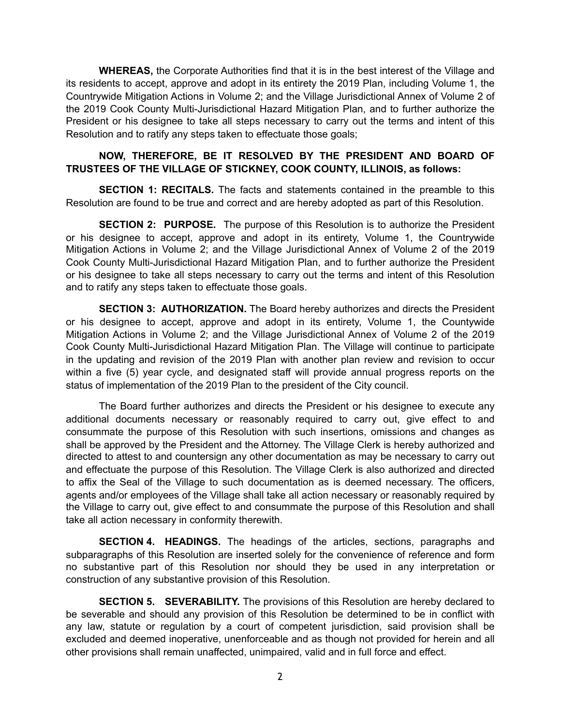**WHEREAS,** the Corporate Authorities find that it is in the best interest of the Village and its residents to accept, approve and adopt in its entirety the 2019 Plan, including Volume 1, the Countrywide Mitigation Actions in Volume 2; and the Village Jurisdictional Annex of Volume 2 of the 2019 Cook County Multi-Jurisdictional Hazard Mitigation Plan, and to further authorize the President or his designee to take all steps necessary to carry out the terms and intent of this Resolution and to ratify any steps taken to effectuate those goals;

## **NOW, THEREFORE, BE IT RESOLVED BY THE PRESIDENT AND BOARD OF TRUSTEES OF THE VILLAGE OF STICKNEY, COOK COUNTY, ILLINOIS, as follows:**

**SECTION 1: RECITALS.** The facts and statements contained in the preamble to this Resolution are found to be true and correct and are hereby adopted as part of this Resolution.

**SECTION 2: PURPOSE.** The purpose of this Resolution is to authorize the President or his designee to accept, approve and adopt in its entirety, Volume 1, the Countrywide Mitigation Actions in Volume 2; and the Village Jurisdictional Annex of Volume 2 of the 2019 Cook County Multi-Jurisdictional Hazard Mitigation Plan, and to further authorize the President or his designee to take all steps necessary to carry out the terms and intent of this Resolution and to ratify any steps taken to effectuate those goals.

**SECTION 3: AUTHORIZATION.** The Board hereby authorizes and directs the President or his designee to accept, approve and adopt in its entirety, Volume 1, the Countywide Mitigation Actions in Volume 2; and the Village Jurisdictional Annex of Volume 2 of the 2019 Cook County Multi-Jurisdictional Hazard Mitigation Plan. The Village will continue to participate in the updating and revision of the 2019 Plan with another plan review and revision to occur within a five (5) year cycle, and designated staff will provide annual progress reports on the status of implementation of the 2019 Plan to the president of the City council.

The Board further authorizes and directs the President or his designee to execute any additional documents necessary or reasonably required to carry out, give effect to and consummate the purpose of this Resolution with such insertions, omissions and changes as shall be approved by the President and the Attorney. The Village Clerk is hereby authorized and directed to attest to and countersign any other documentation as may be necessary to carry out and effectuate the purpose of this Resolution. The Village Clerk is also authorized and directed to affix the Seal of the Village to such documentation as is deemed necessary. The officers, agents and/or employees of the Village shall take all action necessary or reasonably required by the Village to carry out, give effect to and consummate the purpose of this Resolution and shall take all action necessary in conformity therewith.

**SECTION 4. HEADINGS.** The headings of the articles, sections, paragraphs and subparagraphs of this Resolution are inserted solely for the convenience of reference and form no substantive part of this Resolution nor should they be used in any interpretation or construction of any substantive provision of this Resolution.

**SECTION 5. SEVERABILITY.** The provisions of this Resolution are hereby declared to be severable and should any provision of this Resolution be determined to be in conflict with any law, statute or regulation by a court of competent jurisdiction, said provision shall be excluded and deemed inoperative, unenforceable and as though not provided for herein and all other provisions shall remain unaffected, unimpaired, valid and in full force and effect.